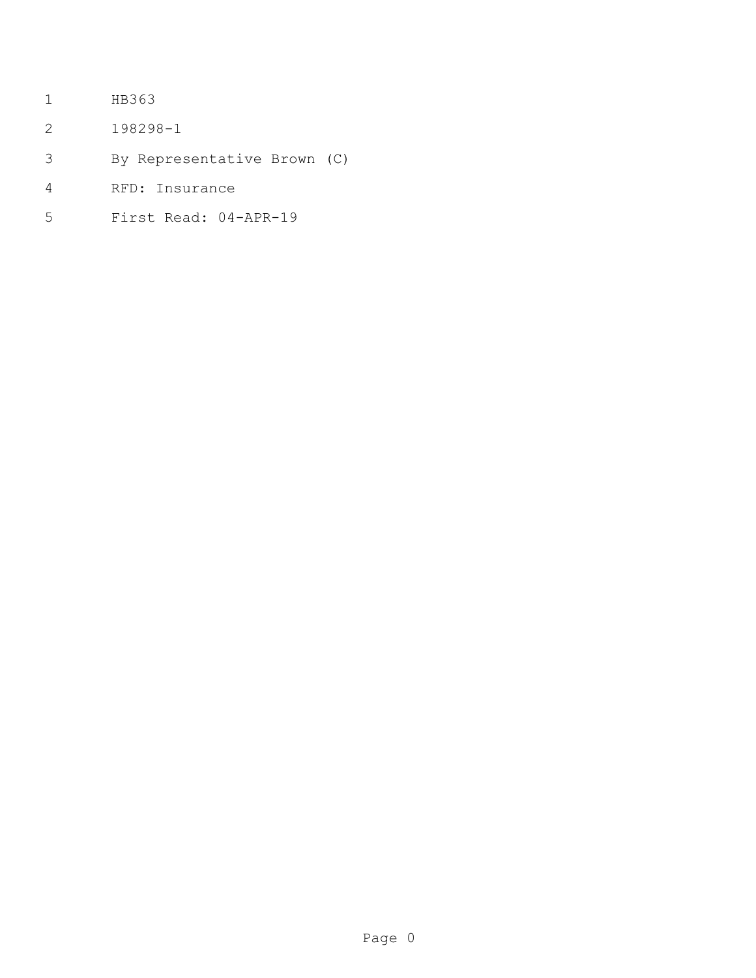- HB363
- 198298-1
- By Representative Brown (C)
- RFD: Insurance
- First Read: 04-APR-19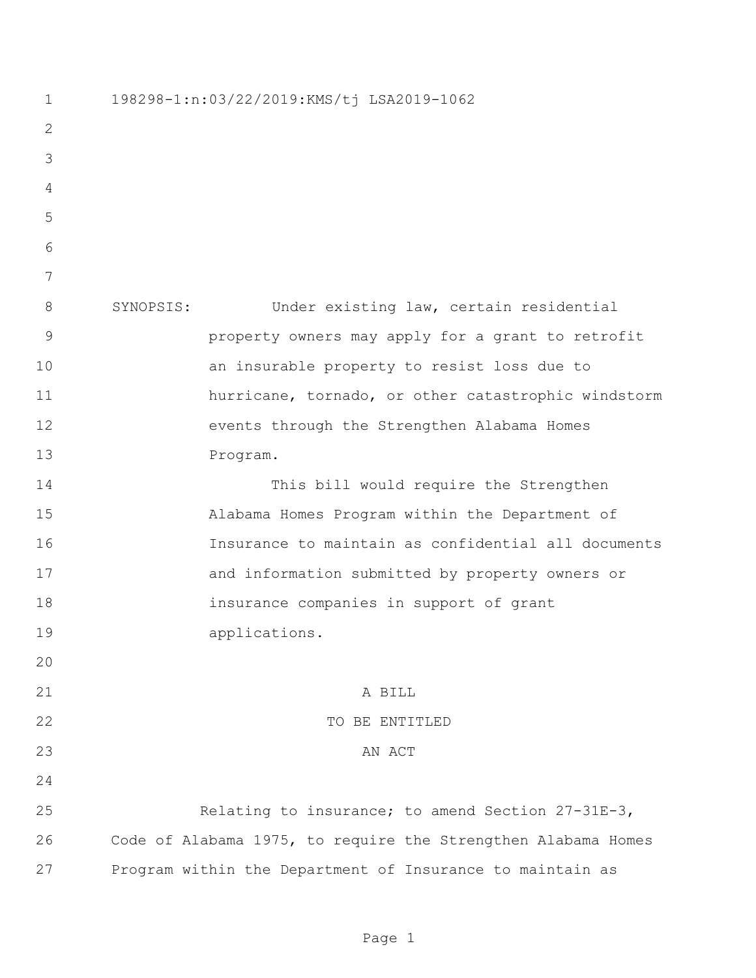198298-1:n:03/22/2019:KMS/tj LSA2019-1062 SYNOPSIS: Under existing law, certain residential property owners may apply for a grant to retrofit an insurable property to resist loss due to hurricane, tornado, or other catastrophic windstorm events through the Strengthen Alabama Homes Program. This bill would require the Strengthen Alabama Homes Program within the Department of Insurance to maintain as confidential all documents and information submitted by property owners or insurance companies in support of grant applications. A BILL 22 TO BE ENTITLED 23 AN ACT Relating to insurance; to amend Section 27-31E-3, Code of Alabama 1975, to require the Strengthen Alabama Homes Program within the Department of Insurance to maintain as